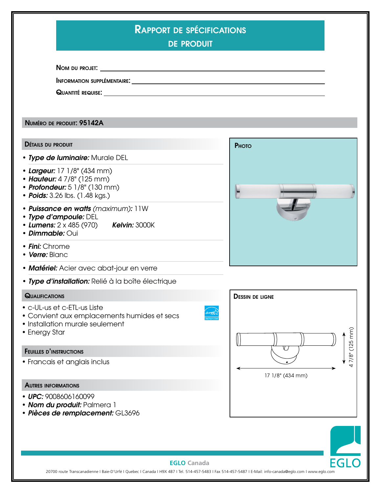| <b>RAPPORT DE SPÉCIFICATIONS</b><br><b>DE PRODUIT</b>                                                                                                   |                        |
|---------------------------------------------------------------------------------------------------------------------------------------------------------|------------------------|
|                                                                                                                                                         |                        |
|                                                                                                                                                         |                        |
|                                                                                                                                                         |                        |
| NUMÉRO DE PRODUIT: 95142A                                                                                                                               |                        |
| <b>DÉTAILS DU PRODUIT</b>                                                                                                                               | PHOTO                  |
| • Type de luminaire: Murale DEL                                                                                                                         |                        |
| • Largeur: 17 1/8" (434 mm)<br>• Hauteur: 4 7/8" (125 mm)<br>• Profondeur: 5 1/8" (130 mm)<br>• Poids: 3.26 lbs. (1.48 kgs.)                            |                        |
| • Puissance en watts (maximum): 11W<br>• Type d'ampoule: DEL<br>• Lumens: 2 x 485 (970) Kelvin: 3000K<br>• Dimmable: Oui                                |                        |
| • Fini: Chrome<br>• Verre: Blanc                                                                                                                        |                        |
| • Matériel: Acier avec abat-jour en verre                                                                                                               |                        |
| · Type d'installation: Relié à la boîte électrique                                                                                                      |                        |
| <b>QUALIFICATIONS</b><br>• c-UL-us et c-ETL-us Liste<br>• Convient aux emplacements humides et secs<br>• Installation murale seulement<br>• Energy Star | <b>DESSIN DE LIGNE</b> |
| <b>FEUILLES D'INSTRUCTIONS</b>                                                                                                                          | 47/8" (125 mm)<br>V J  |
| • Francais et anglais inclus                                                                                                                            | 17 1/8" (434 mm)       |
| <b>AUTRES INFORMATIONS</b>                                                                                                                              |                        |
| • UPC: 9008606160099<br>• Nom du produit: Palmera 1<br>· Pièces de remplacement: GL3696                                                                 |                        |



## **EGLO Canada**

EGLO Canada<br>20700 route Transcanadienne I Baie-D'Urfé I Quebec I Canada I H9X 4B7 I Tel. 514-457-5483 I Fax 514-457-5487 I E-Mail: info-canada@eglo.com I www.eglo.com